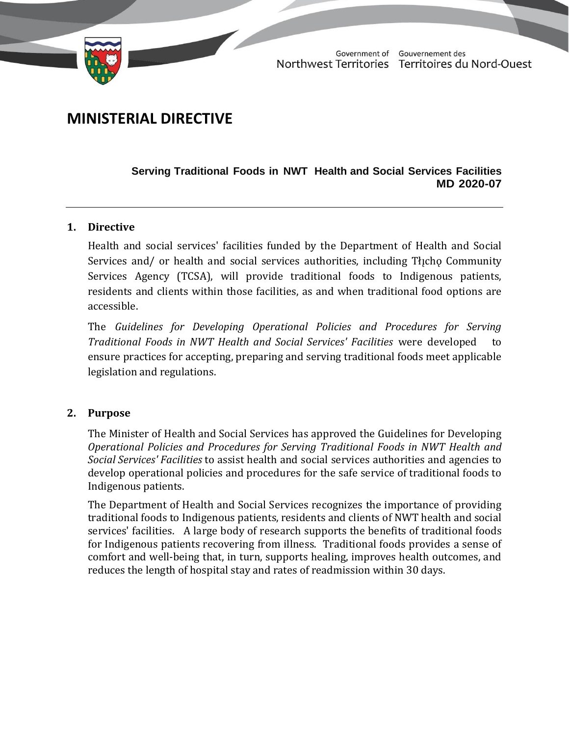

Government of Gouvernement des Northwest Territories Territoires du Nord-Ouest

# **MINISTERIAL DIRECTIVE**

# **Serving Traditional Foods in NWT Health and Social Services Facilities MD 2020-07**

#### **1. Directive**

Health and social services' facilities funded by the Department of Health and Social Services and/ or health and social services authorities, including Theop Community Services Agency (TCSA), will provide traditional foods to Indigenous patients, residents and clients within those facilities, as and when traditional food options are accessible.

The *Guidelines for Developing Operational Policies and Procedures for Serving Traditional Foods in NWT Health and Social Services' Facilities* were developed to ensure practices for accepting, preparing and serving traditional foods meet applicable legislation and regulations.

#### **2. Purpose**

The Minister of Health and Social Services has approved the Guidelines for Developing *Operational Policies and Procedures for Serving Traditional Foods in NWT Health and Social Services' Facilities* to assist health and social services authorities and agencies to develop operational policies and procedures for the safe service of traditional foods to Indigenous patients.

The Department of Health and Social Services recognizes the importance of providing traditional foods to Indigenous patients, residents and clients of NWT health and social services' facilities. A large body of research supports the benefits of traditional foods for Indigenous patients recovering from illness. Traditional foods provides a sense of comfort and well-being that, in turn, supports healing, improves health outcomes, and reduces the length of hospital stay and rates of readmission within 30 days.